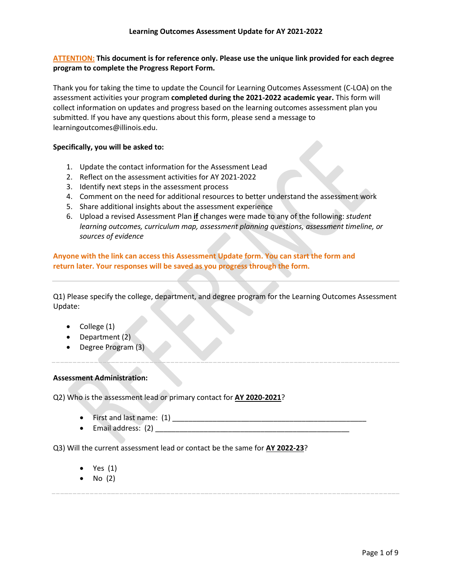# **ATTENTION: This document is for reference only. Please use the unique link provided for each degree program to complete the Progress Report Form.**

Thank you for taking the time to update the Council for Learning Outcomes Assessment (C-LOA) on the assessment activities your program **completed during the 2021-2022 academic year.** This form will collect information on updates and progress based on the learning outcomes assessment plan you submitted. If you have any questions about this form, please send a message to learningoutcomes@illinois.edu.

## **Specifically, you will be asked to:**

- 1. Update the contact information for the Assessment Lead
- 2. Reflect on the assessment activities for AY 2021-2022
- 3. Identify next steps in the assessment process
- 4. Comment on the need for additional resources to better understand the assessment work
- 5. Share additional insights about the assessment experience
- 6. Upload a revised Assessment Plan **if** changes were made to any of the following: *student learning outcomes, curriculum map, assessment planning questions, assessment timeline, or sources of evidence*

**Anyone with the link can access this Assessment Update form. You can start the form and return later. Your responses will be saved as you progress through the form.**

Q1) Please specify the college, department, and degree program for the Learning Outcomes Assessment Update:

- College (1)
- Department (2)
- Degree Program (3)

### **Assessment Administration:**

Q2) Who is the assessment lead or primary contact for **AY 2020-2021**?

- First and last name: (1)
- Email address:  $(2)$

Q3) Will the current assessment lead or contact be the same for **AY 2022-23**?

- Yes (1)
- No (2)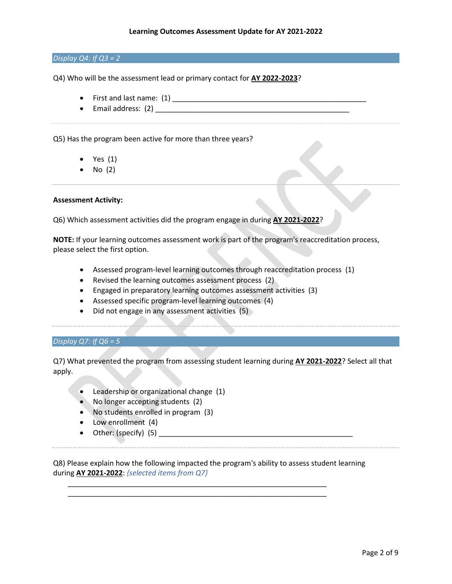### *Display Q4: If Q3 = 2*

Q4) Who will be the assessment lead or primary contact for **AY 2022-2023**?

- First and last name: (1)
- Email address: (2) \_\_\_\_\_\_\_\_\_\_\_\_\_\_\_\_\_\_\_\_\_\_\_\_\_\_\_\_\_\_\_\_\_\_\_\_\_\_\_\_\_\_\_\_\_\_\_\_

Q5) Has the program been active for more than three years?

- Yes (1)
- $\bullet$  No (2)

### **Assessment Activity:**

Q6) Which assessment activities did the program engage in during **AY 2021-2022**?

**NOTE:** If your learning outcomes assessment work is part of the program's reaccreditation process, please select the first option.

- Assessed program-level learning outcomes through reaccreditation process (1)
- Revised the learning outcomes assessment process (2)
- Engaged in preparatory learning outcomes assessment activities (3)
- Assessed specific program-level learning outcomes (4)
- Did not engage in any assessment activities (5)

*Display Q7: If Q6 = 5*

Q7) What prevented the program from assessing student learning during **AY 2021-2022**? Select all that apply.

- Leadership or organizational change (1)
- No longer accepting students (2)
- No students enrolled in program (3)
- Low enrollment (4)
- Other: (specify) (5) \_\_\_\_\_\_\_\_\_\_\_\_\_\_\_\_\_\_\_\_\_\_\_\_\_\_\_\_\_\_\_\_\_\_\_\_\_\_\_\_\_\_\_\_\_\_\_\_

Q8) Please explain how the following impacted the program's ability to assess student learning during **AY 2021-2022**: *{selected items from Q7}*

\_\_\_\_\_\_\_\_\_\_\_\_\_\_\_\_\_\_\_\_\_\_\_\_\_\_\_\_\_\_\_\_\_\_\_\_\_\_\_\_\_\_\_\_\_\_\_\_\_\_\_\_\_\_\_\_\_\_\_\_\_\_\_\_ \_\_\_\_\_\_\_\_\_\_\_\_\_\_\_\_\_\_\_\_\_\_\_\_\_\_\_\_\_\_\_\_\_\_\_\_\_\_\_\_\_\_\_\_\_\_\_\_\_\_\_\_\_\_\_\_\_\_\_\_\_\_\_\_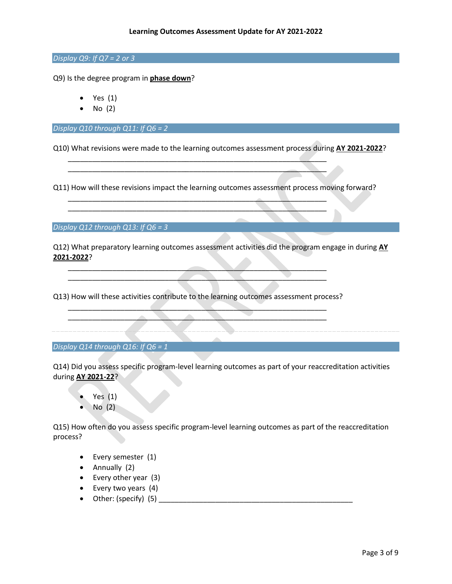*Display Q9: If Q7 = 2 or 3*

Q9) Is the degree program in **phase down**?

- Yes  $(1)$
- No (2)

*Display Q10 through Q11: If Q6 = 2*

Q10) What revisions were made to the learning outcomes assessment process during **AY 2021-2022**?

Q11) How will these revisions impact the learning outcomes assessment process moving forward?

\_\_\_\_\_\_\_\_\_\_\_\_\_\_\_\_\_\_\_\_\_\_\_\_\_\_\_\_\_\_\_\_\_\_\_\_\_\_\_\_\_\_\_\_\_\_\_\_\_\_\_\_\_\_\_\_\_\_\_\_\_\_\_\_ \_\_\_\_\_\_\_\_\_\_\_\_\_\_\_\_\_\_\_\_\_\_\_\_\_\_\_\_\_\_\_\_\_\_\_\_\_\_\_\_\_\_\_\_\_\_\_\_\_\_\_\_\_\_\_\_\_\_\_\_\_\_\_\_

\_\_\_\_\_\_\_\_\_\_\_\_\_\_\_\_\_\_\_\_\_\_\_\_\_\_\_\_\_\_\_\_\_\_\_\_\_\_\_\_\_\_\_\_\_\_\_\_\_\_\_\_\_\_\_\_\_\_\_\_\_\_\_\_ \_\_\_\_\_\_\_\_\_\_\_\_\_\_\_\_\_\_\_\_\_\_\_\_\_\_\_\_\_\_\_\_\_\_\_\_\_\_\_\_\_\_\_\_\_\_\_\_\_\_\_\_\_\_\_\_\_\_\_\_\_\_\_\_

*Display Q12 through Q13: If Q6 = 3*

Q12) What preparatory learning outcomes assessment activities did the program engage in during **AY 2021-2022**?

Q13) How will these activities contribute to the learning outcomes assessment process?  $\blacksquare$ 

\_\_\_\_\_\_\_\_\_\_\_\_\_\_\_\_\_\_\_\_\_\_\_\_\_\_\_\_\_\_\_\_\_\_\_\_\_\_\_\_\_\_\_\_\_\_\_\_\_\_\_\_\_\_\_\_\_\_\_\_\_\_\_\_

\_\_\_\_\_\_\_\_\_\_\_\_\_\_\_\_\_\_\_\_\_\_\_\_\_\_\_\_\_\_\_\_\_\_\_\_\_\_\_\_\_\_\_\_\_\_\_\_\_\_\_\_\_\_\_\_\_\_\_\_\_\_\_\_  $\qquad \qquad \qquad \qquad$ 

*Display Q14 through Q16: If Q6 = 1*

Q14) Did you assess specific program-level learning outcomes as part of your reaccreditation activities during **AY 2021-22**?

- Yes (1)
- No (2)

Q15) How often do you assess specific program-level learning outcomes as part of the reaccreditation process?

- Every semester (1)
- Annually (2)
- Every other year (3)
- Every two years (4)
- Other: (specify) (5) \_\_\_\_\_\_\_\_\_\_\_\_\_\_\_\_\_\_\_\_\_\_\_\_\_\_\_\_\_\_\_\_\_\_\_\_\_\_\_\_\_\_\_\_\_\_\_\_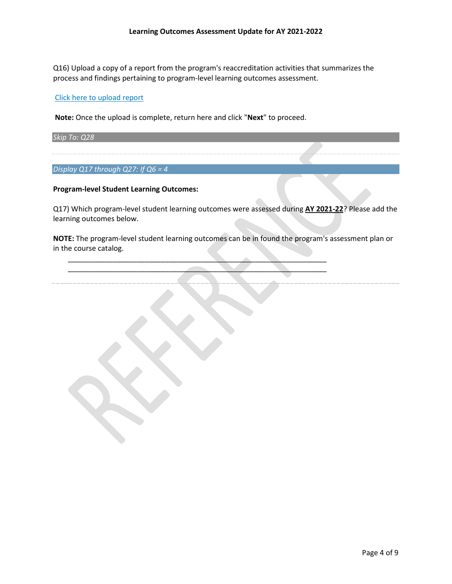Q16) Upload a copy of a report from the program's reaccreditation activities that summarizes the process and findings pertaining to program-level learning outcomes assessment.

## [Click here to upload report](https://uofi.app.box.com/f/d4c32724af1c43e48468eee7f1642060)

**Note:** Once the upload is complete, return here and click "**Next**" to proceed.

*Skip To: Q28*

*Display Q17 through Q27: If Q6 = 4*

### **Program-level Student Learning Outcomes:**

Q17) Which program-level student learning outcomes were assessed during **AY 2021-22**? Please add the learning outcomes below.

**NOTE:** The program-level student learning outcomes can be in found the program's assessment plan or in the course catalog.

\_\_\_\_\_\_\_\_\_\_\_\_\_\_\_\_\_\_\_\_\_\_\_\_\_\_\_\_\_\_\_\_\_\_\_\_\_\_\_\_\_\_\_\_\_\_\_\_\_\_\_\_\_\_\_\_\_\_\_\_\_\_\_\_ \_\_\_\_\_\_\_\_\_\_\_\_\_\_\_\_\_\_\_\_\_\_\_\_\_\_\_\_\_\_\_\_\_\_\_\_\_\_\_\_\_\_\_\_\_\_\_\_\_\_\_\_\_\_\_\_\_\_\_\_\_\_\_\_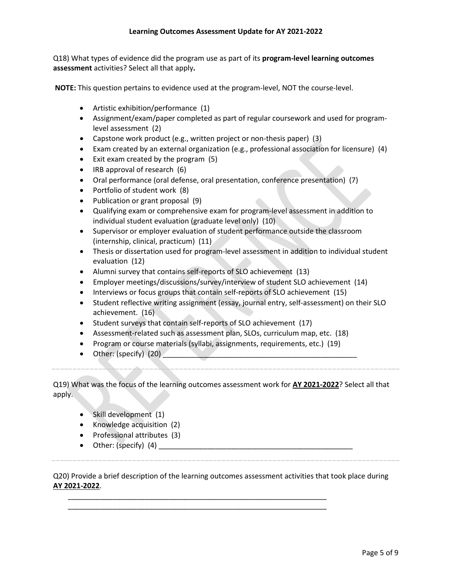## **Learning Outcomes Assessment Update for AY 2021-2022**

Q18) What types of evidence did the program use as part of its **program-level learning outcomes assessment** activities? Select all that apply**.** 

**NOTE:** This question pertains to evidence used at the program-level, NOT the course-level.

- Artistic exhibition/performance (1)
- Assignment/exam/paper completed as part of regular coursework and used for programlevel assessment (2)
- Capstone work product (e.g., written project or non-thesis paper) (3)
- Exam created by an external organization (e.g., professional association for licensure) (4)
- Exit exam created by the program (5)
- IRB approval of research (6)
- Oral performance (oral defense, oral presentation, conference presentation) (7)
- Portfolio of student work (8)
- Publication or grant proposal (9)
- Qualifying exam or comprehensive exam for program-level assessment in addition to individual student evaluation (graduate level only) (10)
- Supervisor or employer evaluation of student performance outside the classroom (internship, clinical, practicum) (11)
- Thesis or dissertation used for program-level assessment in addition to individual student evaluation (12)
- Alumni survey that contains self-reports of SLO achievement (13)
- Employer meetings/discussions/survey/interview of student SLO achievement (14)
- Interviews or focus groups that contain self-reports of SLO achievement (15)
- Student reflective writing assignment (essay, journal entry, self-assessment) on their SLO achievement. (16)
- Student surveys that contain self-reports of SLO achievement (17)
- Assessment-related such as assessment plan, SLOs, curriculum map, etc. (18)
- Program or course materials (syllabi, assignments, requirements, etc.) (19)
- Other: (specify)  $(20)$

Q19) What was the focus of the learning outcomes assessment work for **AY 2021-2022**? Select all that apply.

- Skill development (1)
- Knowledge acquisition (2)
- Professional attributes (3)
- Other: (specify)  $(4)$

Q20) Provide a brief description of the learning outcomes assessment activities that took place during **AY 2021-2022**.

\_\_\_\_\_\_\_\_\_\_\_\_\_\_\_\_\_\_\_\_\_\_\_\_\_\_\_\_\_\_\_\_\_\_\_\_\_\_\_\_\_\_\_\_\_\_\_\_\_\_\_\_\_\_\_\_\_\_\_\_\_\_\_\_ \_\_\_\_\_\_\_\_\_\_\_\_\_\_\_\_\_\_\_\_\_\_\_\_\_\_\_\_\_\_\_\_\_\_\_\_\_\_\_\_\_\_\_\_\_\_\_\_\_\_\_\_\_\_\_\_\_\_\_\_\_\_\_\_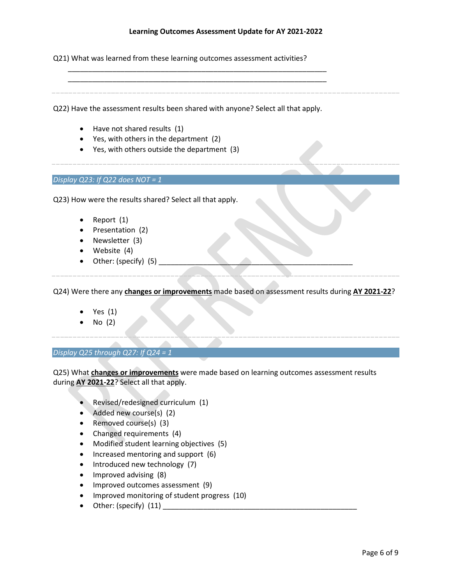### **Learning Outcomes Assessment Update for AY 2021-2022**

Q21) What was learned from these learning outcomes assessment activities?

Q22) Have the assessment results been shared with anyone? Select all that apply.

\_\_\_\_\_\_\_\_\_\_\_\_\_\_\_\_\_\_\_\_\_\_\_\_\_\_\_\_\_\_\_\_\_\_\_\_\_\_\_\_\_\_\_\_\_\_\_\_\_\_\_\_\_\_\_\_\_\_\_\_\_\_\_\_ \_\_\_\_\_\_\_\_\_\_\_\_\_\_\_\_\_\_\_\_\_\_\_\_\_\_\_\_\_\_\_\_\_\_\_\_\_\_\_\_\_\_\_\_\_\_\_\_\_\_\_\_\_\_\_\_\_\_\_\_\_\_\_\_

- Have not shared results (1)
- Yes, with others in the department (2)
- Yes, with others outside the department (3)

*Display Q23: If Q22 does NOT = 1*

Q23) How were the results shared? Select all that apply.

- Report (1)
- Presentation (2)
- Newsletter (3)
- Website (4)
- Other: (specify)  $(5)$

Q24) Were there any **changes or improvements** made based on assessment results during **AY 2021-22**?

- Yes (1)
- No (2)

### *Display Q25 through Q27: If Q24 = 1*

Q25) What **changes or improvements** were made based on learning outcomes assessment results during **AY 2021-22**? Select all that apply.

- Revised/redesigned curriculum (1)
- Added new course(s) (2)
- Removed course(s) (3)
- Changed requirements (4)
- Modified student learning objectives (5)
- Increased mentoring and support (6)
- Introduced new technology (7)
- Improved advising (8)
- Improved outcomes assessment (9)
- Improved monitoring of student progress (10)
- Other: (specify)  $(11)$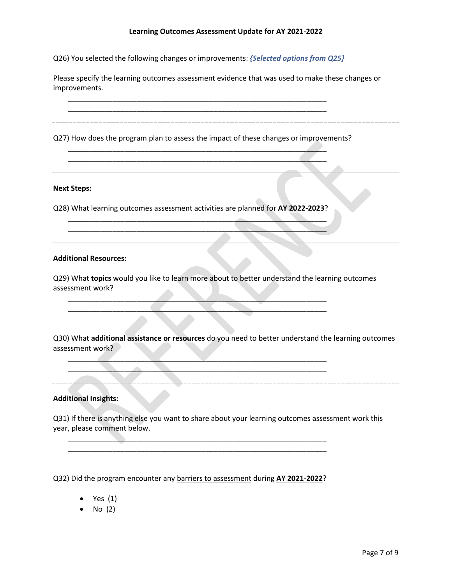Q26) You selected the following changes or improvements: *{Selected options from Q25}*

\_\_\_\_\_\_\_\_\_\_\_\_\_\_\_\_\_\_\_\_\_\_\_\_\_\_\_\_\_\_\_\_\_\_\_\_\_\_\_\_\_\_\_\_\_\_\_\_\_\_\_\_\_\_\_\_\_\_\_\_\_\_\_\_

Please specify the learning outcomes assessment evidence that was used to make these changes or improvements.

\_\_\_\_\_\_\_\_\_\_\_\_\_\_\_\_\_\_\_\_\_\_\_\_\_\_\_\_\_\_\_\_\_\_\_\_\_\_\_\_\_\_\_\_\_\_\_\_\_\_\_\_\_\_\_\_\_\_\_\_\_\_\_\_ Q27) How does the program plan to assess the impact of these changes or improvements? \_\_\_\_\_\_\_\_\_\_\_\_\_\_\_\_\_\_\_\_\_\_\_\_\_\_\_\_\_\_\_\_\_\_\_\_\_\_\_\_\_\_\_\_\_\_\_\_\_\_\_\_\_\_\_\_\_\_\_\_\_\_\_\_ \_\_\_\_\_\_\_\_\_\_\_\_\_\_\_\_\_\_\_\_\_\_\_\_\_\_\_\_\_\_\_\_\_\_\_\_\_\_\_\_\_\_\_\_\_\_\_\_\_\_\_\_\_\_\_\_\_\_\_\_\_\_\_\_

#### **Next Steps:**

Q28) What learning outcomes assessment activities are planned for **AY 2022-2023**?

 $\frac{1}{2}$  ,  $\frac{1}{2}$  ,  $\frac{1}{2}$  ,  $\frac{1}{2}$  ,  $\frac{1}{2}$  ,  $\frac{1}{2}$  ,  $\frac{1}{2}$  ,  $\frac{1}{2}$  ,  $\frac{1}{2}$  ,  $\frac{1}{2}$  ,  $\frac{1}{2}$  ,  $\frac{1}{2}$  ,  $\frac{1}{2}$  ,  $\frac{1}{2}$  ,  $\frac{1}{2}$  ,  $\frac{1}{2}$  ,  $\frac{1}{2}$  ,  $\frac{1}{2}$  ,  $\frac{1$ \_\_\_\_\_\_\_\_\_\_\_\_\_\_\_\_\_\_\_\_\_\_\_\_\_\_\_\_\_\_\_\_\_\_\_\_\_\_\_\_\_\_\_\_\_\_\_\_\_\_\_\_\_\_\_\_\_\_\_\_\_\_\_\_

 $\blacksquare$  $\blacksquare$ 

 $\mathcal{L} = \{ \mathcal{L} \mid \mathcal{L} = \{ \mathcal{L} \mid \mathcal{L} = \{ \mathcal{L} \mid \mathcal{L} = \{ \mathcal{L} \mid \mathcal{L} = \{ \mathcal{L} \mid \mathcal{L} = \{ \mathcal{L} \mid \mathcal{L} = \{ \mathcal{L} \mid \mathcal{L} = \{ \mathcal{L} \mid \mathcal{L} = \{ \mathcal{L} \mid \mathcal{L} = \{ \mathcal{L} \mid \mathcal{L} = \{ \mathcal{L} \mid \mathcal{L} = \{ \mathcal{L} \mid \mathcal{L} = \{ \mathcal{L} \$  $\blacksquare$ 

\_\_\_\_\_\_\_\_\_\_\_\_\_\_\_\_\_\_\_\_\_\_\_\_\_\_\_\_\_\_\_\_\_\_\_\_\_\_\_\_\_\_\_\_\_\_\_\_\_\_\_\_\_\_\_\_\_\_\_\_\_\_\_\_ \_\_\_\_\_\_\_\_\_\_\_\_\_\_\_\_\_\_\_\_\_\_\_\_\_\_\_\_\_\_\_\_\_\_\_\_\_\_\_\_\_\_\_\_\_\_\_\_\_\_\_\_\_\_\_\_\_\_\_\_\_\_\_\_

### **Additional Resources:**

Q29) What **topics** would you like to learn more about to better understand the learning outcomes assessment work?

Q30) What **additional assistance or resources** do you need to better understand the learning outcomes assessment work?

## **Additional Insights:**

Q31) If there is anything else you want to share about your learning outcomes assessment work this year, please comment below.

Q32) Did the program encounter any barriers to assessment during **AY 2021-2022**?

- Yes (1)
- $\bullet$  No (2)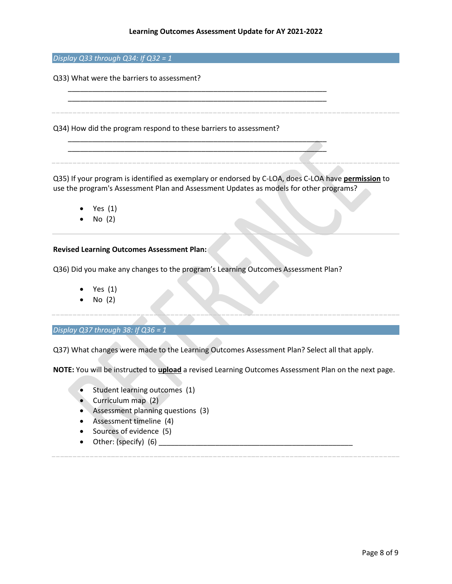*Display Q33 through Q34: If Q32 = 1*

Q33) What were the barriers to assessment?

Q34) How did the program respond to these barriers to assessment?

Q35) If your program is identified as exemplary or endorsed by C-LOA, does C-LOA have **permission** to use the program's Assessment Plan and Assessment Updates as models for other programs?

- Yes (1)
- No (2)

### **Revised Learning Outcomes Assessment Plan:**

Q36) Did you make any changes to the program's Learning Outcomes Assessment Plan?

\_\_\_\_\_\_\_\_\_\_\_\_\_\_\_\_\_\_\_\_\_\_\_\_\_\_\_\_\_\_\_\_\_\_\_\_\_\_\_\_\_\_\_\_\_\_\_\_\_\_\_\_\_\_\_\_\_\_\_\_\_\_\_\_ \_\_\_\_\_\_\_\_\_\_\_\_\_\_\_\_\_\_\_\_\_\_\_\_\_\_\_\_\_\_\_\_\_\_\_\_\_\_\_\_\_\_\_\_\_\_\_\_\_\_\_\_\_\_\_\_\_\_\_\_\_\_\_\_

\_\_\_\_\_\_\_\_\_\_\_\_\_\_\_\_\_\_\_\_\_\_\_\_\_\_\_\_\_\_\_\_\_\_\_\_\_\_\_\_\_\_\_\_\_\_\_\_\_\_\_\_\_\_\_\_\_\_\_\_\_\_\_\_ \_\_\_\_\_\_\_\_\_\_\_\_\_\_\_\_\_\_\_\_\_\_\_\_\_\_\_\_\_\_\_\_\_\_\_\_\_\_\_\_\_\_\_\_\_\_\_\_\_\_\_\_\_\_\_\_\_\_\_\_\_\_\_\_

- Yes (1)
- No (2)

*Display Q37 through 38: If Q36 = 1*

Q37) What changes were made to the Learning Outcomes Assessment Plan? Select all that apply.

**NOTE:** You will be instructed to **upload** a revised Learning Outcomes Assessment Plan on the next page.

- Student learning outcomes (1)
- Curriculum map (2)
- Assessment planning questions (3)
- Assessment timeline (4)
- Sources of evidence (5)
- Other: (specify) (6) \_\_\_\_\_\_\_\_\_\_\_\_\_\_\_\_\_\_\_\_\_\_\_\_\_\_\_\_\_\_\_\_\_\_\_\_\_\_\_\_\_\_\_\_\_\_\_\_